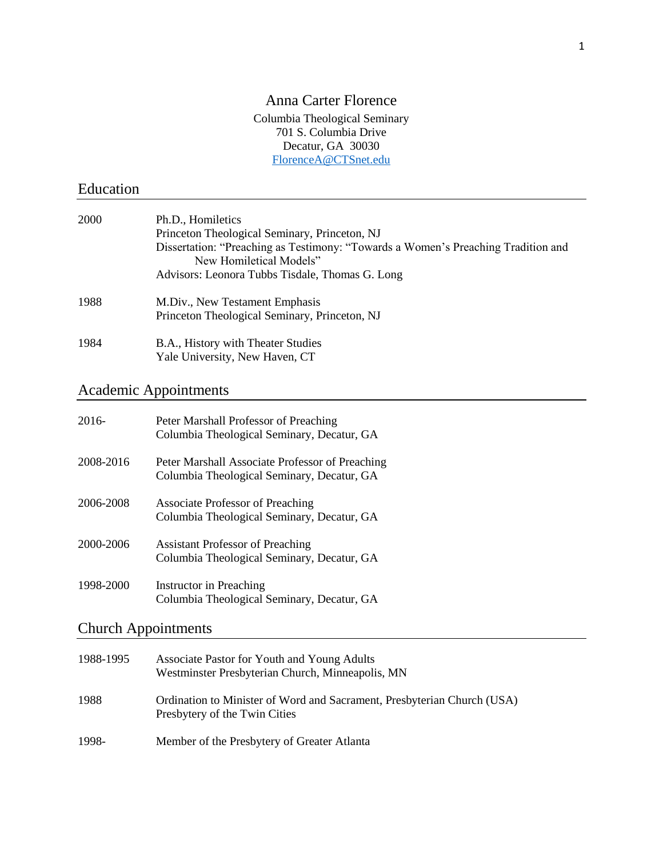## Anna Carter Florence Columbia Theological Seminary 701 S. Columbia Drive Decatur, GA 30030 [FlorenceA@CTSnet.edu](mailto:FlorenceA@CTSnet.edu)

# Education

| 2000 | Ph.D., Homiletics                                                                                            |  |
|------|--------------------------------------------------------------------------------------------------------------|--|
|      | Princeton Theological Seminary, Princeton, NJ                                                                |  |
|      | Dissertation: "Preaching as Testimony: "Towards a Women's Preaching Tradition and<br>New Homiletical Models" |  |
|      | Advisors: Leonora Tubbs Tisdale, Thomas G. Long                                                              |  |
| 1988 | M.Div., New Testament Emphasis                                                                               |  |
|      | Princeton Theological Seminary, Princeton, NJ                                                                |  |
| 1984 | B.A., History with Theater Studies<br>Yale University, New Haven, CT                                         |  |
|      |                                                                                                              |  |

# Academic Appointments

| 2016-     | Peter Marshall Professor of Preaching<br>Columbia Theological Seminary, Decatur, GA           |
|-----------|-----------------------------------------------------------------------------------------------|
| 2008-2016 | Peter Marshall Associate Professor of Preaching<br>Columbia Theological Seminary, Decatur, GA |
| 2006-2008 | <b>Associate Professor of Preaching</b><br>Columbia Theological Seminary, Decatur, GA         |
| 2000-2006 | <b>Assistant Professor of Preaching</b><br>Columbia Theological Seminary, Decatur, GA         |
| 1998-2000 | Instructor in Preaching<br>Columbia Theological Seminary, Decatur, GA                         |

# Church Appointments

| 1988-1995 | Associate Pastor for Youth and Young Adults<br>Westminster Presbyterian Church, Minneapolis, MN          |
|-----------|----------------------------------------------------------------------------------------------------------|
| 1988      | Ordination to Minister of Word and Sacrament, Presbyterian Church (USA)<br>Presbytery of the Twin Cities |
| 1998-     | Member of the Presbytery of Greater Atlanta                                                              |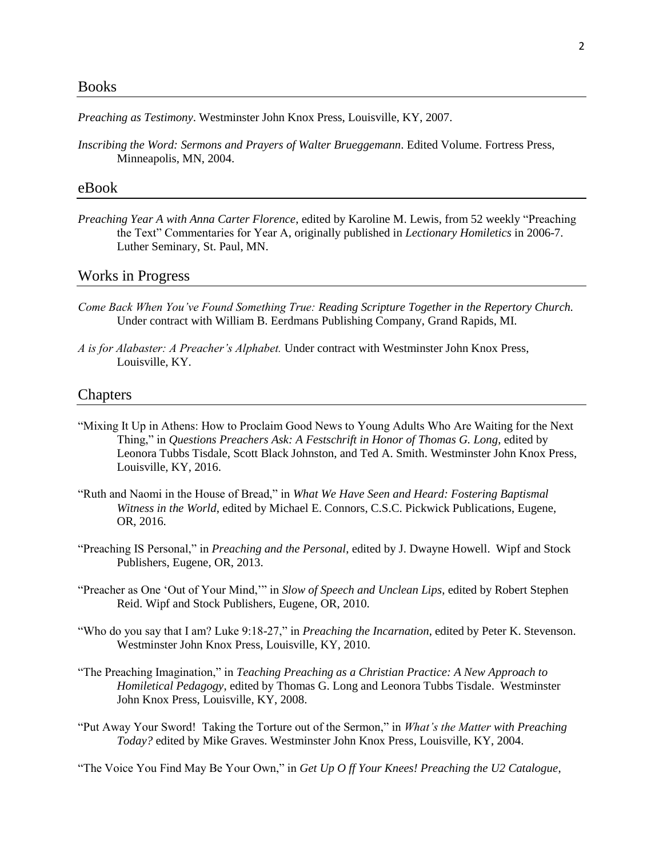#### Books

*Preaching as Testimony*. Westminster John Knox Press, Louisville, KY, 2007.

*Inscribing the Word: Sermons and Prayers of Walter Brueggemann*. Edited Volume. Fortress Press, Minneapolis, MN, 2004.

#### eBook

*Preaching Year A with Anna Carter Florence*, edited by Karoline M. Lewis, from 52 weekly "Preaching the Text" Commentaries for Year A, originally published in *Lectionary Homiletics* in 2006-7. Luther Seminary, St. Paul, MN.

### Works in Progress

- *Come Back When You've Found Something True: Reading Scripture Together in the Repertory Church.* Under contract with William B. Eerdmans Publishing Company, Grand Rapids, MI.
- *A is for Alabaster: A Preacher's Alphabet.* Under contract with Westminster John Knox Press, Louisville, KY.

#### Chapters

- "Mixing It Up in Athens: How to Proclaim Good News to Young Adults Who Are Waiting for the Next Thing," in *Questions Preachers Ask: A Festschrift in Honor of Thomas G. Long*, edited by Leonora Tubbs Tisdale, Scott Black Johnston, and Ted A. Smith. Westminster John Knox Press, Louisville, KY, 2016.
- "Ruth and Naomi in the House of Bread," in *What We Have Seen and Heard: Fostering Baptismal Witness in the World*, edited by Michael E. Connors, C.S.C. Pickwick Publications, Eugene, OR, 2016.
- "Preaching IS Personal," in *Preaching and the Personal*, edited by J. Dwayne Howell. Wipf and Stock Publishers, Eugene, OR, 2013.
- "Preacher as One 'Out of Your Mind,'" in *Slow of Speech and Unclean Lips*, edited by Robert Stephen Reid. Wipf and Stock Publishers, Eugene, OR, 2010.
- "Who do you say that I am? Luke 9:18-27," in *Preaching the Incarnation*, edited by Peter K. Stevenson. Westminster John Knox Press, Louisville, KY, 2010.
- "The Preaching Imagination," in *Teaching Preaching as a Christian Practice: A New Approach to Homiletical Pedagogy*, edited by Thomas G. Long and Leonora Tubbs Tisdale. Westminster John Knox Press, Louisville, KY, 2008.
- "Put Away Your Sword! Taking the Torture out of the Sermon," in *What's the Matter with Preaching Today?* edited by Mike Graves. Westminster John Knox Press, Louisville, KY, 2004.

"The Voice You Find May Be Your Own," in *Get Up O ff Your Knees! Preaching the U2 Catalogue*,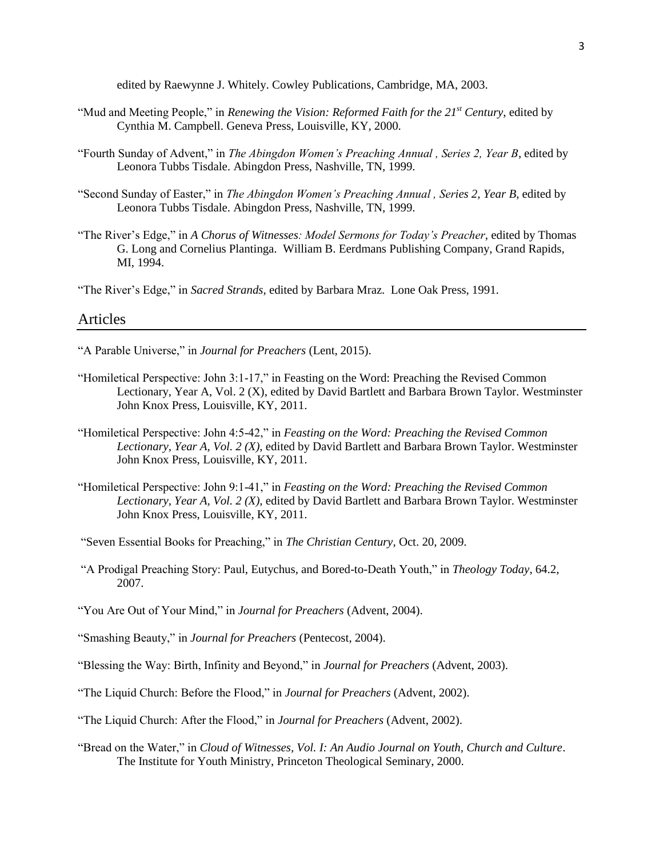edited by Raewynne J. Whitely. Cowley Publications, Cambridge, MA, 2003.

- "Mud and Meeting People," in *Renewing the Vision: Reformed Faith for the 21st Century*, edited by Cynthia M. Campbell. Geneva Press, Louisville, KY, 2000.
- "Fourth Sunday of Advent," in *The Abingdon Women's Preaching Annual , Series 2, Year B*, edited by Leonora Tubbs Tisdale. Abingdon Press, Nashville, TN, 1999.
- "Second Sunday of Easter," in *The Abingdon Women's Preaching Annual , Series 2, Year B*, edited by Leonora Tubbs Tisdale. Abingdon Press, Nashville, TN, 1999.
- "The River's Edge," in *A Chorus of Witnesses: Model Sermons for Today's Preacher*, edited by Thomas G. Long and Cornelius Plantinga. William B. Eerdmans Publishing Company, Grand Rapids, MI, 1994.

"The River's Edge," in *Sacred Strands*, edited by Barbara Mraz. Lone Oak Press, 1991.

#### Articles

- "A Parable Universe," in *Journal for Preachers* (Lent, 2015).
- "Homiletical Perspective: John 3:1-17," in Feasting on the Word: Preaching the Revised Common Lectionary, Year A, Vol. 2 (X), edited by David Bartlett and Barbara Brown Taylor. Westminster John Knox Press, Louisville, KY, 2011.
- "Homiletical Perspective: John 4:5-42," in *Feasting on the Word: Preaching the Revised Common Lectionary, Year A, Vol. 2 (X)*, edited by David Bartlett and Barbara Brown Taylor. Westminster John Knox Press, Louisville, KY, 2011.
- "Homiletical Perspective: John 9:1-41," in *Feasting on the Word: Preaching the Revised Common Lectionary, Year A, Vol. 2 (X)*, edited by David Bartlett and Barbara Brown Taylor. Westminster John Knox Press, Louisville, KY, 2011.
- "Seven Essential Books for Preaching," in *The Christian Century*, Oct. 20, 2009.
- "A Prodigal Preaching Story: Paul, Eutychus, and Bored-to-Death Youth," in *Theology Today*, 64.2, 2007.
- "You Are Out of Your Mind," in *Journal for Preachers* (Advent, 2004).
- "Smashing Beauty," in *Journal for Preachers* (Pentecost, 2004).
- "Blessing the Way: Birth, Infinity and Beyond," in *Journal for Preachers* (Advent, 2003).
- "The Liquid Church: Before the Flood," in *Journal for Preachers* (Advent, 2002).
- "The Liquid Church: After the Flood," in *Journal for Preachers* (Advent, 2002).
- "Bread on the Water," in *Cloud of Witnesses, Vol. I: An Audio Journal on Youth, Church and Culture*. The Institute for Youth Ministry, Princeton Theological Seminary, 2000.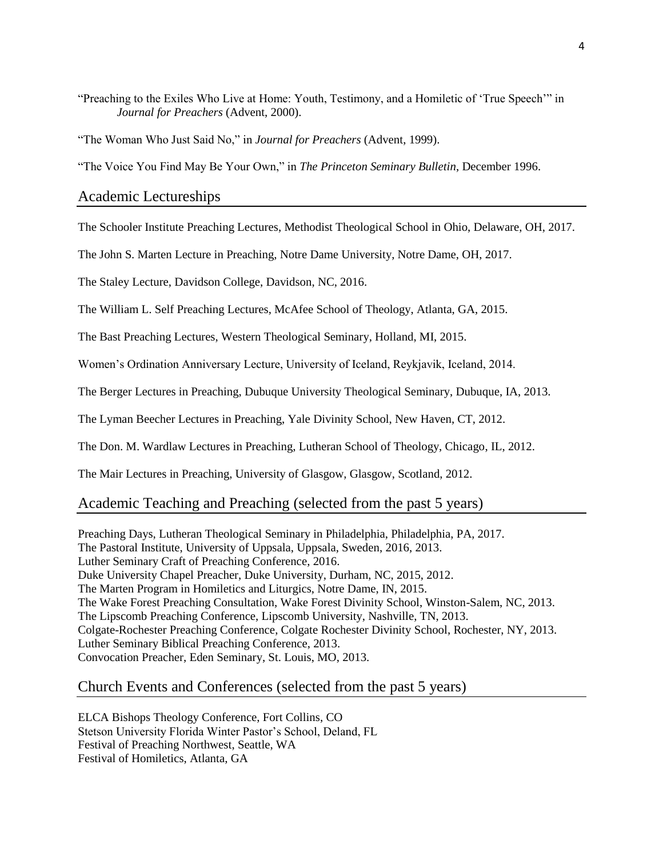"Preaching to the Exiles Who Live at Home: Youth, Testimony, and a Homiletic of 'True Speech'" in *Journal for Preachers* (Advent, 2000).

"The Woman Who Just Said No," in *Journal for Preachers* (Advent, 1999).

"The Voice You Find May Be Your Own," in *The Princeton Seminary Bulletin*, December 1996.

Academic Lectureships

The Schooler Institute Preaching Lectures, Methodist Theological School in Ohio, Delaware, OH, 2017.

The John S. Marten Lecture in Preaching, Notre Dame University, Notre Dame, OH, 2017.

The Staley Lecture, Davidson College, Davidson, NC, 2016.

The William L. Self Preaching Lectures, McAfee School of Theology, Atlanta, GA, 2015.

The Bast Preaching Lectures, Western Theological Seminary, Holland, MI, 2015.

Women's Ordination Anniversary Lecture, University of Iceland, Reykjavik, Iceland, 2014.

The Berger Lectures in Preaching, Dubuque University Theological Seminary, Dubuque, IA, 2013.

The Lyman Beecher Lectures in Preaching, Yale Divinity School, New Haven, CT, 2012.

The Don. M. Wardlaw Lectures in Preaching, Lutheran School of Theology, Chicago, IL, 2012.

The Mair Lectures in Preaching, University of Glasgow, Glasgow, Scotland, 2012.

#### Academic Teaching and Preaching (selected from the past 5 years)

Preaching Days, Lutheran Theological Seminary in Philadelphia, Philadelphia, PA, 2017. The Pastoral Institute, University of Uppsala, Uppsala, Sweden, 2016, 2013. Luther Seminary Craft of Preaching Conference, 2016. Duke University Chapel Preacher, Duke University, Durham, NC, 2015, 2012. The Marten Program in Homiletics and Liturgics, Notre Dame, IN, 2015. The Wake Forest Preaching Consultation, Wake Forest Divinity School, Winston-Salem, NC, 2013. The Lipscomb Preaching Conference, Lipscomb University, Nashville, TN, 2013. Colgate-Rochester Preaching Conference, Colgate Rochester Divinity School, Rochester, NY, 2013. Luther Seminary Biblical Preaching Conference, 2013. Convocation Preacher, Eden Seminary, St. Louis, MO, 2013.

## Church Events and Conferences (selected from the past 5 years)

ELCA Bishops Theology Conference, Fort Collins, CO Stetson University Florida Winter Pastor's School, Deland, FL Festival of Preaching Northwest, Seattle, WA Festival of Homiletics, Atlanta, GA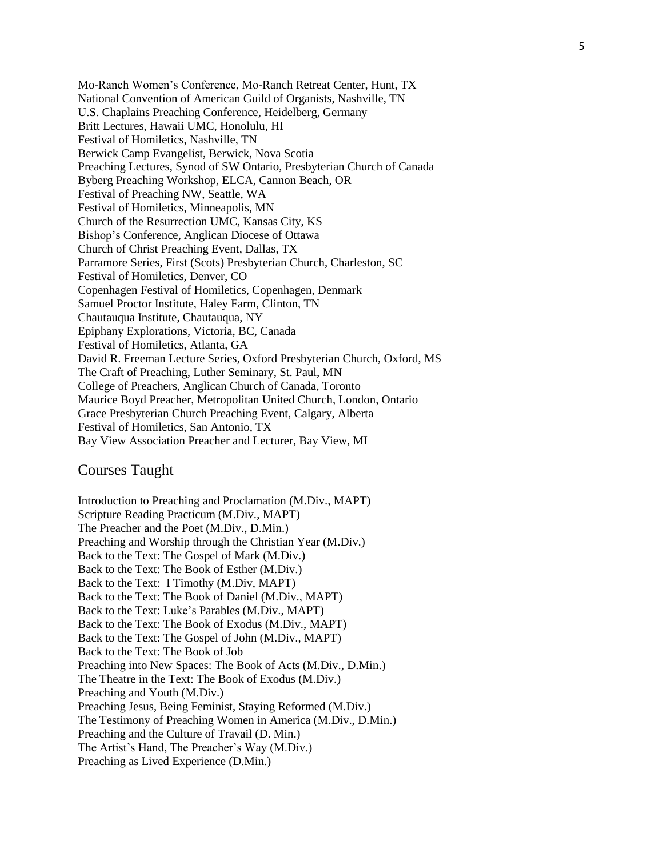Mo-Ranch Women's Conference, Mo-Ranch Retreat Center, Hunt, TX National Convention of American Guild of Organists, Nashville, TN U.S. Chaplains Preaching Conference, Heidelberg, Germany Britt Lectures, Hawaii UMC, Honolulu, HI Festival of Homiletics, Nashville, TN Berwick Camp Evangelist, Berwick, Nova Scotia Preaching Lectures, Synod of SW Ontario, Presbyterian Church of Canada Byberg Preaching Workshop, ELCA, Cannon Beach, OR Festival of Preaching NW, Seattle, WA Festival of Homiletics, Minneapolis, MN Church of the Resurrection UMC, Kansas City, KS Bishop's Conference, Anglican Diocese of Ottawa Church of Christ Preaching Event, Dallas, TX Parramore Series, First (Scots) Presbyterian Church, Charleston, SC Festival of Homiletics, Denver, CO Copenhagen Festival of Homiletics, Copenhagen, Denmark Samuel Proctor Institute, Haley Farm, Clinton, TN Chautauqua Institute, Chautauqua, NY Epiphany Explorations, Victoria, BC, Canada Festival of Homiletics, Atlanta, GA David R. Freeman Lecture Series, Oxford Presbyterian Church, Oxford, MS The Craft of Preaching, Luther Seminary, St. Paul, MN College of Preachers, Anglican Church of Canada, Toronto Maurice Boyd Preacher, Metropolitan United Church, London, Ontario Grace Presbyterian Church Preaching Event, Calgary, Alberta Festival of Homiletics, San Antonio, TX Bay View Association Preacher and Lecturer, Bay View, MI

### Courses Taught

Introduction to Preaching and Proclamation (M.Div., MAPT) Scripture Reading Practicum (M.Div., MAPT) The Preacher and the Poet (M.Div., D.Min.) Preaching and Worship through the Christian Year (M.Div.) Back to the Text: The Gospel of Mark (M.Div.) Back to the Text: The Book of Esther (M.Div.) Back to the Text: I Timothy (M.Div, MAPT) Back to the Text: The Book of Daniel (M.Div., MAPT) Back to the Text: Luke's Parables (M.Div., MAPT) Back to the Text: The Book of Exodus (M.Div., MAPT) Back to the Text: The Gospel of John (M.Div., MAPT) Back to the Text: The Book of Job Preaching into New Spaces: The Book of Acts (M.Div., D.Min.) The Theatre in the Text: The Book of Exodus (M.Div.) Preaching and Youth (M.Div.) Preaching Jesus, Being Feminist, Staying Reformed (M.Div.) The Testimony of Preaching Women in America (M.Div., D.Min.) Preaching and the Culture of Travail (D. Min.) The Artist's Hand, The Preacher's Way (M.Div.) Preaching as Lived Experience (D.Min.)